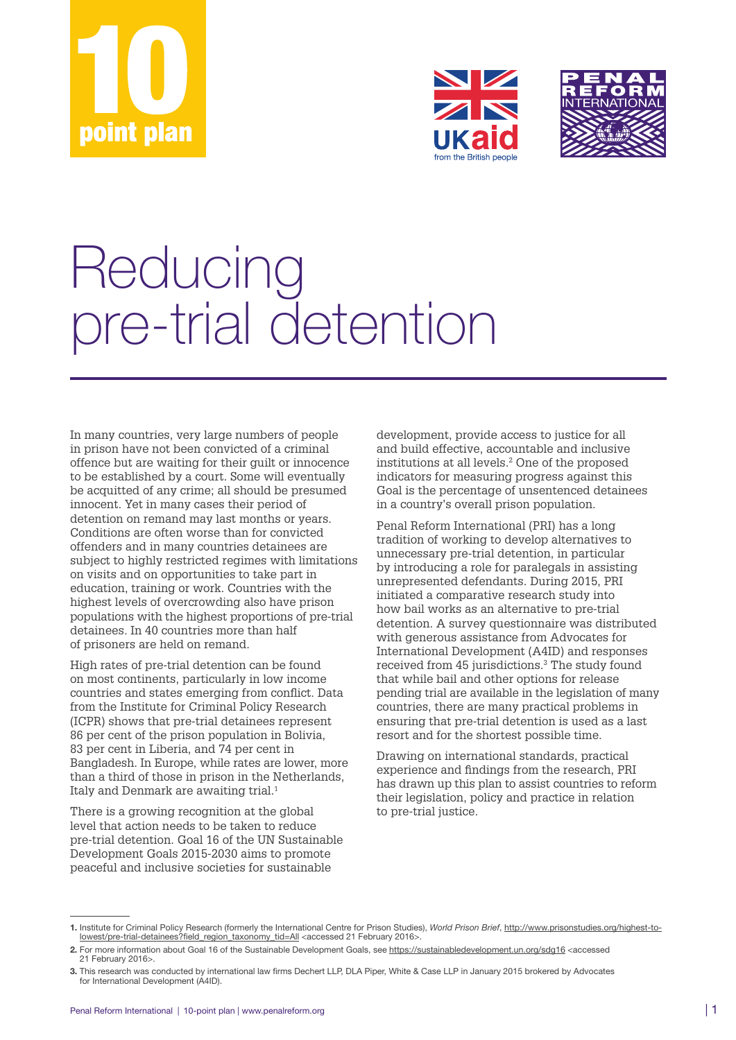





## Reducing pre-trial detention

In many countries, very large numbers of people in prison have not been convicted of a criminal offence but are waiting for their guilt or innocence to be established by a court. Some will eventually be acquitted of any crime; all should be presumed innocent. Yet in many cases their period of detention on remand may last months or years. Conditions are often worse than for convicted offenders and in many countries detainees are subject to highly restricted regimes with limitations on visits and on opportunities to take part in education, training or work. Countries with the highest levels of overcrowding also have prison populations with the highest proportions of pre‑trial detainees. In 40 countries more than half of prisoners are held on remand.

High rates of pre‑trial detention can be found on most continents, particularly in low income countries and states emerging from conflict. Data from the Institute for Criminal Policy Research (ICPR) shows that pre‑trial detainees represent 86 per cent of the prison population in Bolivia, 83 per cent in Liberia, and 74 per cent in Bangladesh. In Europe, while rates are lower, more than a third of those in prison in the Netherlands, Italy and Denmark are awaiting trial.<sup>1</sup>

There is a growing recognition at the global level that action needs to be taken to reduce pre‑trial detention. Goal 16 of the UN Sustainable Development Goals 2015‑2030 aims to promote peaceful and inclusive societies for sustainable

development, provide access to justice for all and build effective, accountable and inclusive institutions at all levels.2 One of the proposed indicators for measuring progress against this Goal is the percentage of unsentenced detainees in a country's overall prison population.

Penal Reform International (PRI) has a long tradition of working to develop alternatives to unnecessary pre‑trial detention, in particular by introducing a role for paralegals in assisting unrepresented defendants. During 2015, PRI initiated a comparative research study into how bail works as an alternative to pre-trial detention. A survey questionnaire was distributed with generous assistance from Advocates for International Development (A4ID) and responses received from 45 jurisdictions.<sup>3</sup> The study found that while bail and other options for release pending trial are available in the legislation of many countries, there are many practical problems in ensuring that pre‑trial detention is used as a last resort and for the shortest possible time.

Drawing on international standards, practical experience and findings from the research, PRI has drawn up this plan to assist countries to reform their legislation, policy and practice in relation to pre-trial justice.

<sup>1.</sup> Institute for Criminal Policy Research (formerly the International Centre for Prison Studies), *World Prison Brief*, [http://www.prisonstudies.org/highest-to](http://www.prisonstudies.org/highest-to-lowest/pre-trial-detainees?field_region_taxonomy_tid=All)[lowest/pre-trial-detainees?field\\_region\\_taxonomy\\_tid=All](http://www.prisonstudies.org/highest-to-lowest/pre-trial-detainees?field_region_taxonomy_tid=All) <accessed 21 February 2016>.

<sup>2.</sup> For more information about Goal 16 of the Sustainable Development Goals, see <https://sustainabledevelopment.un.org/sdg16> <accessed 21 February 2016>.

<sup>3.</sup> This research was conducted by international law firms Dechert LLP, DLA Piper, White & Case LLP in January 2015 brokered by Advocates for International Development (A4ID).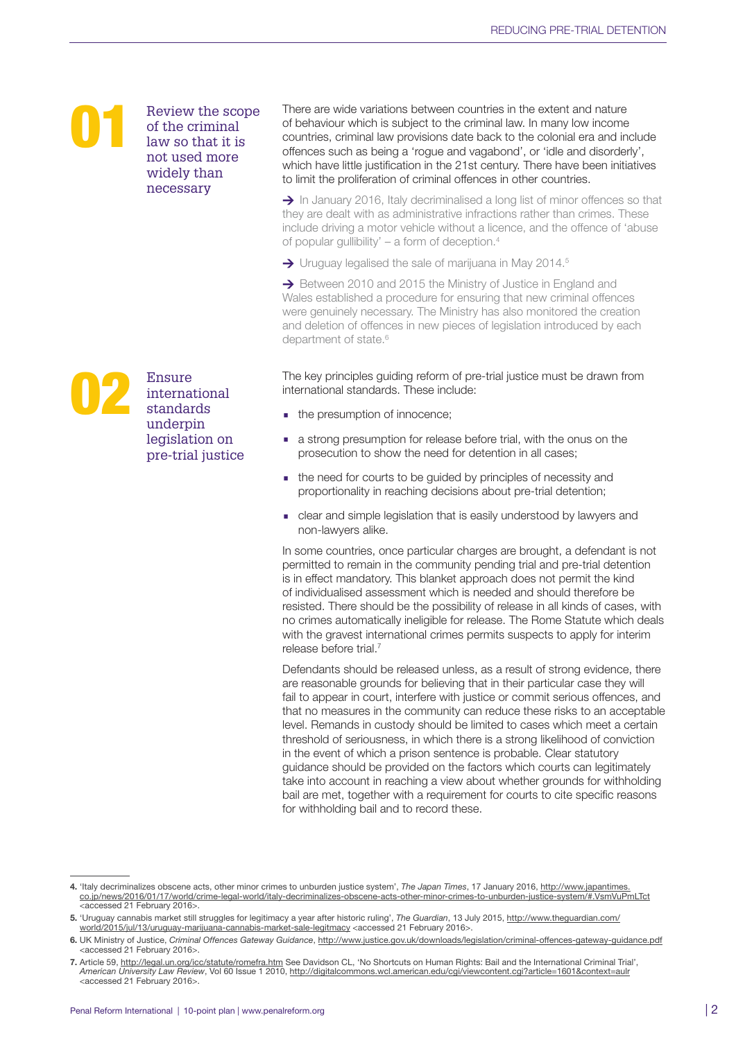Review the scope of the criminal law so that it is not used more widely than necessary

There are wide variations between countries in the extent and nature of behaviour which is subject to the criminal law. In many low income countries, criminal law provisions date back to the colonial era and include offences such as being a 'rogue and vagabond', or 'idle and disorderly', which have little justification in the 21st century. There have been initiatives to limit the proliferation of criminal offences in other countries.

> In January 2016, Italy decriminalised a long list of minor offences so that they are dealt with as administrative infractions rather than crimes. These include driving a motor vehicle without a licence, and the offence of 'abuse of popular gullibility'  $-$  a form of deception.<sup>4</sup>

 $\rightarrow$  Uruguay legalised the sale of marijuana in May 2014.<sup>5</sup>

→ Between 2010 and 2015 the Ministry of Justice in England and Wales established a procedure for ensuring that new criminal offences were genuinely necessary. The Ministry has also monitored the creation and deletion of offences in new pieces of legislation introduced by each department of state.<sup>6</sup>

The key principles guiding reform of pre-trial justice must be drawn from international standards. These include:

- the presumption of innocence;
- a strong presumption for release before trial, with the onus on the prosecution to show the need for detention in all cases;
- the need for courts to be guided by principles of necessity and proportionality in reaching decisions about pre-trial detention;
- clear and simple legislation that is easily understood by lawyers and non-lawyers alike.

In some countries, once particular charges are brought, a defendant is not permitted to remain in the community pending trial and pre-trial detention is in effect mandatory. This blanket approach does not permit the kind of individualised assessment which is needed and should therefore be resisted. There should be the possibility of release in all kinds of cases, with no crimes automatically ineligible for release. The Rome Statute which deals with the gravest international crimes permits suspects to apply for interim release before trial.7

Defendants should be released unless, as a result of strong evidence, there are reasonable grounds for believing that in their particular case they will fail to appear in court, interfere with justice or commit serious offences, and that no measures in the community can reduce these risks to an acceptable level. Remands in custody should be limited to cases which meet a certain threshold of seriousness, in which there is a strong likelihood of conviction in the event of which a prison sentence is probable. Clear statutory guidance should be provided on the factors which courts can legitimately take into account in reaching a view about whether grounds for withholding bail are met, together with a requirement for courts to cite specific reasons for withholding bail and to record these.



<sup>4.</sup> 'Italy decriminalizes obscene acts, other minor crimes to unburden justice system', *The Japan Times*, 17 January 2016, [http://www.japantimes.](http://www.japantimes.co.jp/news/2016/01/17/world/crime-legal-world/italy-decriminalizes-obscene-acts-other-minor-crimes-to-unburden-justice-system/#.VsmVuPmLTct) [co.jp/news/2016/01/17/world/crime-legal-world/italy-decriminalizes-obscene-acts-other-minor-crimes-to-unburden-justice-system/#.VsmVuPmLTct](http://www.japantimes.co.jp/news/2016/01/17/world/crime-legal-world/italy-decriminalizes-obscene-acts-other-minor-crimes-to-unburden-justice-system/#.VsmVuPmLTct)<br><accessed 21 February 2016>.

<sup>5.</sup> 'Uruguay cannabis market still struggles for legitimacy a year after historic ruling', *The Guardian*, 13 July 2015, [http://www.theguardian.com/](http://www.theguardian.com/world/2015/jul/13/uruguay-marijuana-cannabis-market-sale-legitmacy) [world/2015/jul/13/uruguay-marijuana-cannabis-market-sale-legitmacy](http://www.theguardian.com/world/2015/jul/13/uruguay-marijuana-cannabis-market-sale-legitmacy) <accessed 21 February 2016>

<sup>6.</sup> UK Ministry of Justice, *Criminal Offences Gateway Guidance*,<http://www.justice.gov.uk/downloads/legislation/criminal-offences-gateway-guidance.pdf> <accessed 21 February 2016>.

<sup>7.</sup> Article 59, <http://legal.un.org/icc/statute/romefra.htm> See Davidson CL, 'No Shortcuts on Human Rights: Bail and the International Criminal Trial', *American University Law Review*, Vol 60 Issue 1 2010,<http://digitalcommons.wcl.american.edu/cgi/viewcontent.cgi?article=1601&context=aulr> <accessed 21 February 2016>.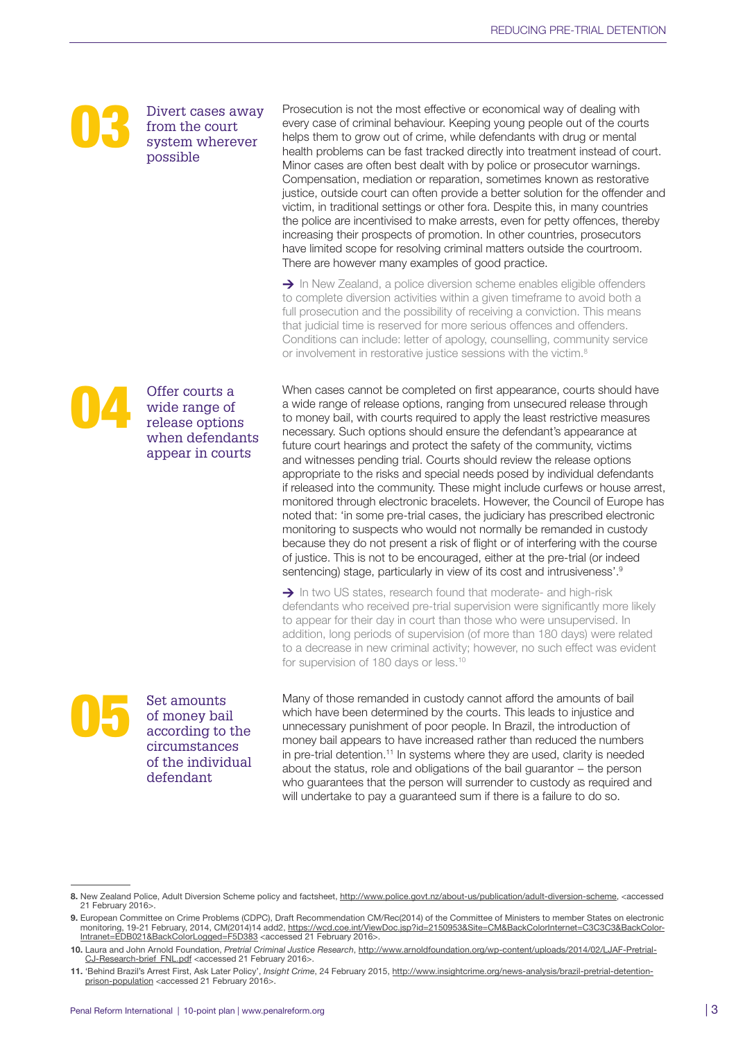

Divert cases away from the court system wherever possible

Prosecution is not the most effective or economical way of dealing with every case of criminal behaviour. Keeping young people out of the courts helps them to grow out of crime, while defendants with drug or mental health problems can be fast tracked directly into treatment instead of court. Minor cases are often best dealt with by police or prosecutor warnings. Compensation, mediation or reparation, sometimes known as restorative justice, outside court can often provide a better solution for the offender and victim, in traditional settings or other fora. Despite this, in many countries the police are incentivised to make arrests, even for petty offences, thereby increasing their prospects of promotion. In other countries, prosecutors have limited scope for resolving criminal matters outside the courtroom. There are however many examples of good practice.

 $\rightarrow$  In New Zealand, a police diversion scheme enables eligible offenders to complete diversion activities within a given timeframe to avoid both a full prosecution and the possibility of receiving a conviction. This means that judicial time is reserved for more serious offences and offenders. Conditions can include: letter of apology, counselling, community service or involvement in restorative justice sessions with the victim.<sup>8</sup>

When cases cannot be completed on first appearance, courts should have a wide range of release options, ranging from unsecured release through to money bail, with courts required to apply the least restrictive measures necessary. Such options should ensure the defendant's appearance at future court hearings and protect the safety of the community, victims and witnesses pending trial. Courts should review the release options appropriate to the risks and special needs posed by individual defendants if released into the community. These might include curfews or house arrest, monitored through electronic bracelets. However, the Council of Europe has noted that: 'in some pre-trial cases, the judiciary has prescribed electronic monitoring to suspects who would not normally be remanded in custody because they do not present a risk of flight or of interfering with the course of justice. This is not to be encouraged, either at the pre-trial (or indeed sentencing) stage, particularly in view of its cost and intrusiveness'.<sup>9</sup>

 $\rightarrow$  In two US states, research found that moderate- and high-risk defendants who received pre-trial supervision were significantly more likely to appear for their day in court than those who were unsupervised. In addition, long periods of supervision (of more than 180 days) were related to a decrease in new criminal activity; however, no such effect was evident for supervision of 180 days or less.10

Set amounts<br>of money bail<br>according to<br>circumstance of money bail according to the circumstances of the individual defendant

Many of those remanded in custody cannot afford the amounts of bail which have been determined by the courts. This leads to injustice and unnecessary punishment of poor people. In Brazil, the introduction of money bail appears to have increased rather than reduced the numbers in pre-trial detention.<sup>11</sup> In systems where they are used, clarity is needed about the status, role and obligations of the bail guarantor − the person who guarantees that the person will surrender to custody as required and will undertake to pay a guaranteed sum if there is a failure to do so.



<sup>8.</sup> New Zealand Police, Adult Diversion Scheme policy and factsheet, [http://www.police.govt.nz/about-us/publication/adult-diversion-scheme,](http://www.police.govt.nz/about-us/publication/adult-diversion-scheme) <accessed 21 February 2016>.

<sup>9.</sup> European Committee on Crime Problems (CDPC), Draft Recommendation CM/Rec(2014) of the Committee of Ministers to member States on electronic monitoring, 19-21 February, 2014, CM(2014)14 add2, <u>https://wcd.coe.int/ViewDoc.jsp?id=2150953&Site=CM&BackColorInternet=C3C3C3&BackColor-</u><br><u>Intranet=EDB021&BackColorLogged=F5D383</u> <accessed 21 February 2016>.

<sup>10.</sup> Laura and John Arnold Foundation, *Pretrial Criminal Justice Research*, [http://www.arnoldfoundation.org/wp-content/uploads/2014/02/LJAF-Pretrial-](http://www.arnoldfoundation.org/wp-content/uploads/2014/02/LJAF-Pretrial-CJ-Research-brief_FNL.pdf)[CJ-Research-brief\\_FNL.pdf](http://www.arnoldfoundation.org/wp-content/uploads/2014/02/LJAF-Pretrial-CJ-Research-brief_FNL.pdf) <accessed 21 February 2016>.

<sup>11.</sup> 'Behind Brazil's Arrest First, Ask Later Policy', *Insight Crime*, 24 February 2015, [http://www.insightcrime.org/news-analysis/brazil-pretrial-detention](http://www.insightcrime.org/news-analysis/brazil-pretrial-detention-prison-population)[prison-population](http://www.insightcrime.org/news-analysis/brazil-pretrial-detention-prison-population) <accessed 21 February 2016>.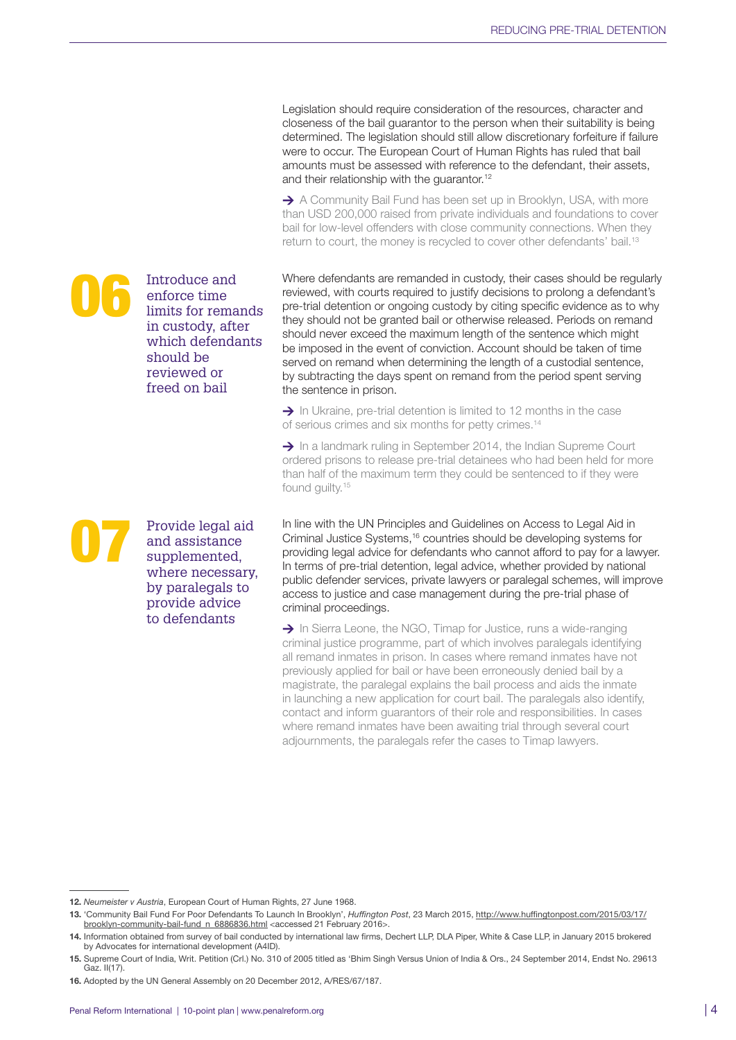Legislation should require consideration of the resources, character and closeness of the bail guarantor to the person when their suitability is being determined. The legislation should still allow discretionary forfeiture if failure were to occur. The European Court of Human Rights has ruled that bail amounts must be assessed with reference to the defendant, their assets, and their relationship with the guarantor.<sup>12</sup>

 $\rightarrow$  A Community Bail Fund has been set up in Brooklyn, USA, with more than USD 200,000 raised from private individuals and foundations to cover bail for low-level offenders with close community connections. When they return to court, the money is recycled to cover other defendants' bail.<sup>13</sup>

Where defendants are remanded in custody, their cases should be regularly reviewed, with courts required to justify decisions to prolong a defendant's pre-trial detention or ongoing custody by citing specific evidence as to why they should not be granted bail or otherwise released. Periods on remand should never exceed the maximum length of the sentence which might be imposed in the event of conviction. Account should be taken of time served on remand when determining the length of a custodial sentence, by subtracting the days spent on remand from the period spent serving the sentence in prison.

 $\rightarrow$  In Ukraine, pre-trial detention is limited to 12 months in the case of serious crimes and six months for petty crimes.<sup>14</sup>

 $\rightarrow$  In a landmark ruling in September 2014, the Indian Supreme Court ordered prisons to release pre-trial detainees who had been held for more than half of the maximum term they could be sentenced to if they were found guilty.<sup>15</sup>

In line with the UN Principles and Guidelines on Access to Legal Aid in Criminal Justice Systems,16 countries should be developing systems for providing legal advice for defendants who cannot afford to pay for a lawyer. In terms of pre-trial detention, legal advice, whether provided by national public defender services, private lawyers or paralegal schemes, will improve access to justice and case management during the pre-trial phase of criminal proceedings.

 $\rightarrow$  In Sierra Leone, the NGO, Timap for Justice, runs a wide-ranging criminal justice programme, part of which involves paralegals identifying all remand inmates in prison. In cases where remand inmates have not previously applied for bail or have been erroneously denied bail by a magistrate, the paralegal explains the bail process and aids the inmate in launching a new application for court bail. The paralegals also identify, contact and inform guarantors of their role and responsibilities. In cases where remand inmates have been awaiting trial through several court adjournments, the paralegals refer the cases to Timap lawyers.

Introduce and<br>
enforce time<br>
limits for remands<br>
in custody after enforce time

> should be reviewed or freed on bail

in custody, after which defendants

Provide legal aid and assistance supplemented. where necessary, by paralegals to provide advice to defendants

<sup>12.</sup> Neumeister v Austria, European Court of Human Rights, 27 June 1968.

<sup>13.</sup> 'Community Bail Fund For Poor Defendants To Launch In Brooklyn', *Huffington Post*, 23 March 2015, [http://www.huffingtonpost.com/2015/03/17/](http://www.huffingtonpost.com/2015/03/17/brooklyn-community-bail-fund_n_6886836.html) [brooklyn-community-bail-fund\\_n\\_6886836.html](http://www.huffingtonpost.com/2015/03/17/brooklyn-community-bail-fund_n_6886836.html) <accessed 21 February 2016>.

<sup>14.</sup> Information obtained from survey of bail conducted by international law firms, Dechert LLP, DLA Piper, White & Case LLP, in January 2015 brokered by Advocates for international development (A4ID).

<sup>15.</sup> Supreme Court of India, Writ. Petition (Crl.) No. 310 of 2005 titled as 'Bhim Singh Versus Union of India & Ors., 24 September 2014, Endst No. 29613 Gaz. II(17).

<sup>16.</sup> Adopted by the UN General Assembly on 20 December 2012, A/RES/67/187.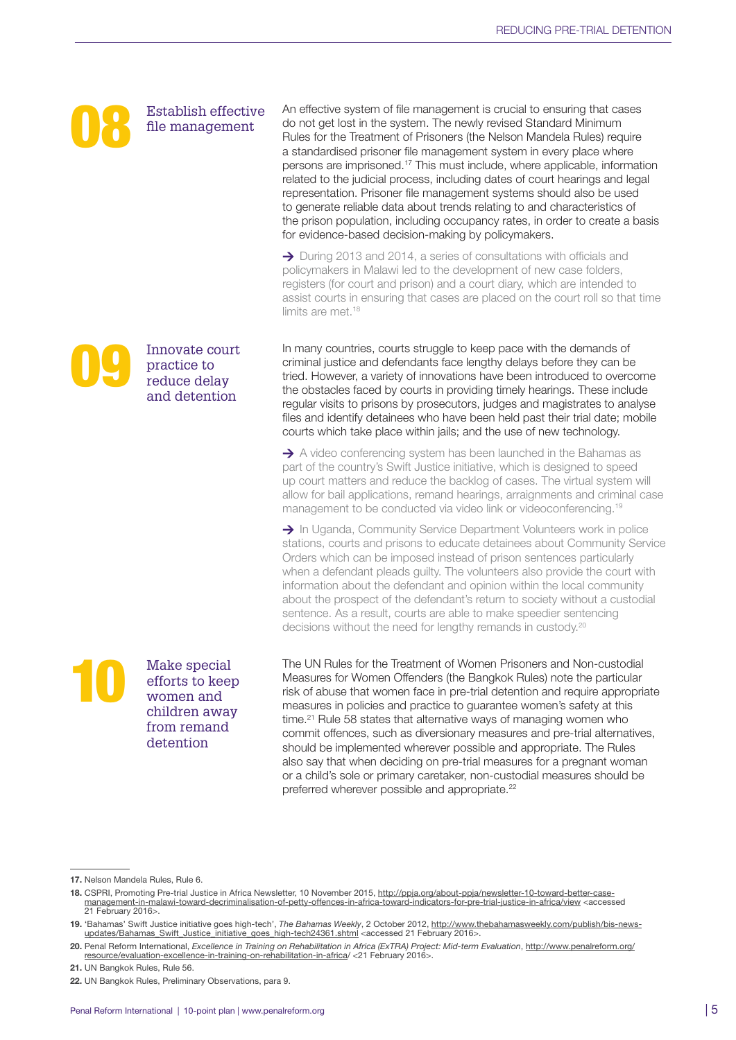

Establish effective file management

Innovate court practice to reduce delay and detention

An effective system of file management is crucial to ensuring that cases do not get lost in the system. The newly revised Standard Minimum Rules for the Treatment of Prisoners (the Nelson Mandela Rules) require a standardised prisoner file management system in every place where persons are imprisoned.17 This must include, where applicable, information related to the judicial process, including dates of court hearings and legal representation. Prisoner file management systems should also be used to generate reliable data about trends relating to and characteristics of the prison population, including occupancy rates, in order to create a basis for evidence-based decision-making by policymakers.

→ During 2013 and 2014, a series of consultations with officials and policymakers in Malawi led to the development of new case folders, registers (for court and prison) and a court diary, which are intended to assist courts in ensuring that cases are placed on the court roll so that time limits are met.<sup>18</sup>

In many countries, courts struggle to keep pace with the demands of criminal justice and defendants face lengthy delays before they can be tried. However, a variety of innovations have been introduced to overcome the obstacles faced by courts in providing timely hearings. These include regular visits to prisons by prosecutors, judges and magistrates to analyse files and identify detainees who have been held past their trial date; mobile courts which take place within jails; and the use of new technology.

 $\rightarrow$  A video conferencing system has been launched in the Bahamas as part of the country's Swift Justice initiative, which is designed to speed up court matters and reduce the backlog of cases. The virtual system will allow for bail applications, remand hearings, arraignments and criminal case management to be conducted via video link or videoconferencing.19

 $\rightarrow$  In Uganda, Community Service Department Volunteers work in police stations, courts and prisons to educate detainees about Community Service Orders which can be imposed instead of prison sentences particularly when a defendant pleads guilty. The volunteers also provide the court with information about the defendant and opinion within the local community about the prospect of the defendant's return to society without a custodial sentence. As a result, courts are able to make speedier sentencing decisions without the need for lengthy remands in custody.<sup>20</sup>

Make special efforts to keep women and children away from remand detention

The UN Rules for the Treatment of Women Prisoners and Non-custodial Measures for Women Offenders (the Bangkok Rules) note the particular risk of abuse that women face in pre-trial detention and require appropriate measures in policies and practice to guarantee women's safety at this time.<sup>21</sup> Rule 58 states that alternative ways of managing women who commit offences, such as diversionary measures and pre-trial alternatives, should be implemented wherever possible and appropriate. The Rules also say that when deciding on pre-trial measures for a pregnant woman or a child's sole or primary caretaker, non-custodial measures should be preferred wherever possible and appropriate.<sup>22</sup>

<sup>17.</sup> Nelson Mandela Rules, Rule 6.

<sup>18.</sup> CSPRI, Promoting Pre-trial Justice in Africa Newsletter, 10 November 2015, http://ppja.org/about-ppja/newsletter-10-toward-better-case-<br>management-in-malawi-toward-decriminalisation-of-petty-offences-in-africa-toward-i 21 February 2016>.

<sup>19. &#</sup>x27;Bahamas' Swift Justice initiative goes high-tech', The Bahamas Weekly, 2 October 2012, http://www.thebahamasweekly.com/publish/bis-news-<br>- updates/Bahamas Swift Justice initiative goes high-tech24361.shtml <accessed 2

<sup>20.</sup> Penal Reform International, *Excellence in Training on Rehabilitation in Africa (ExTRA) Project: Mid-term Evaluation*, [http://www.penalreform.org/](http://www.penalreform.org/resource/evaluation-excellence-in-training-on-rehabilitation-in-africa/) [resource/evaluation-excellence-in-training-on-rehabilitation-in-africa](http://www.penalreform.org/resource/evaluation-excellence-in-training-on-rehabilitation-in-africa/)/ <21 February 2016>.

<sup>21.</sup> UN Bangkok Rules, Rule 56.

<sup>22.</sup> UN Bangkok Rules, Preliminary Observations, para 9.